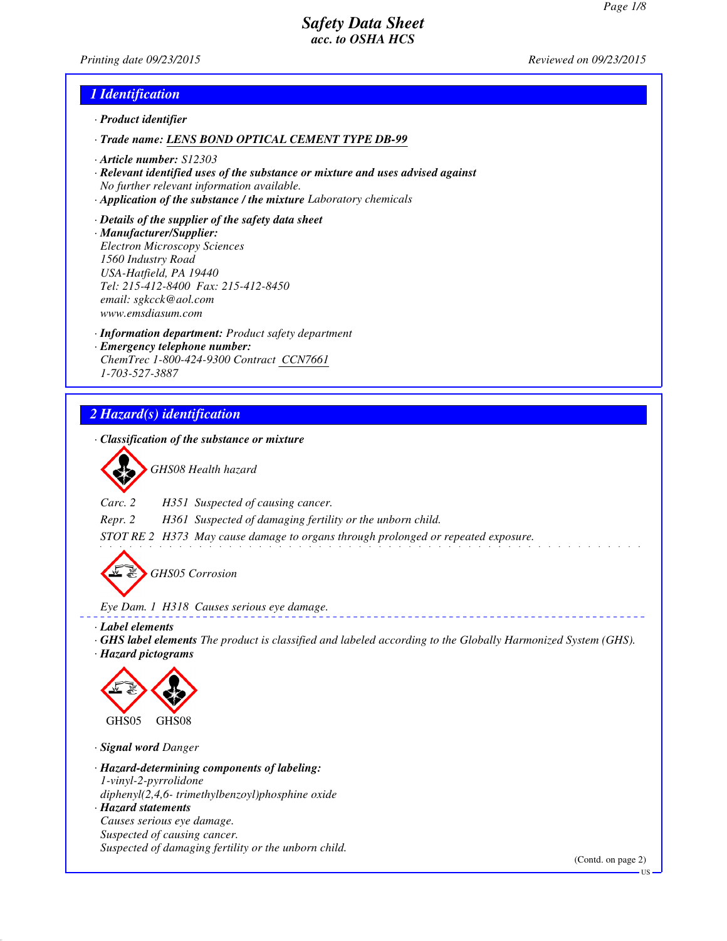*Printing date 09/23/2015 Reviewed on 09/23/2015*

## *1 Identification*

- *· Product identifier*
- *· Trade name: LENS BOND OPTICAL CEMENT TYPE DB-99*
- *· Article number: S12303*
- *· Relevant identified uses of the substance or mixture and uses advised against No further relevant information available.*
- *· Application of the substance / the mixture Laboratory chemicals*
- *· Details of the supplier of the safety data sheet · Manufacturer/Supplier: Electron Microscopy Sciences 1560 Industry Road USA-Hatfield, PA 19440 Tel: 215-412-8400 Fax: 215-412-8450 email: sgkcck@aol.com www.emsdiasum.com*
- *· Information department: Product safety department · Emergency telephone number: ChemTrec 1-800-424-9300 Contract CCN7661 1-703-527-3887*

# *2 Hazard(s) identification*

*· Classification of the substance or mixture*

*GHS08 Health hazard*

*Carc. 2 H351 Suspected of causing cancer.*

*Repr. 2 H361 Suspected of damaging fertility or the unborn child.*

*STOT RE 2 H373 May cause damage to organs through prolonged or repeated exposure.*

*GHS05 Corrosion*

*Eye Dam. 1 H318 Causes serious eye damage.*

*· Label elements*

*· GHS label elements The product is classified and labeled according to the Globally Harmonized System (GHS).*

 $- - - - - -$ 

*· Hazard pictograms*



*· Signal word Danger*

*· Hazard-determining components of labeling: 1-vinyl-2-pyrrolidone*

*diphenyl(2,4,6- trimethylbenzoyl)phosphine oxide*

*· Hazard statements Causes serious eye damage. Suspected of causing cancer. Suspected of damaging fertility or the unborn child.*

(Contd. on page 2)

US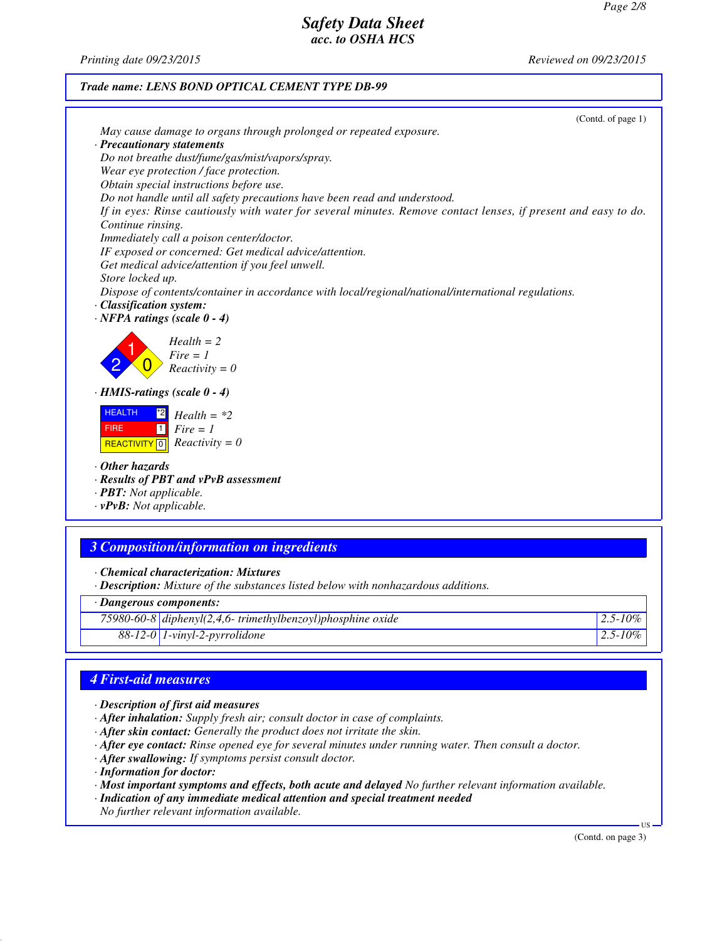*Printing date 09/23/2015 Reviewed on 09/23/2015*

### *Trade name: LENS BOND OPTICAL CEMENT TYPE DB-99*

|                                                                                                                                                                                                                                                                                                                                                                           | (Contd. of page 1) |
|---------------------------------------------------------------------------------------------------------------------------------------------------------------------------------------------------------------------------------------------------------------------------------------------------------------------------------------------------------------------------|--------------------|
| May cause damage to organs through prolonged or repeated exposure.                                                                                                                                                                                                                                                                                                        |                    |
| · Precautionary statements                                                                                                                                                                                                                                                                                                                                                |                    |
| Do not breathe dust/fume/gas/mist/vapors/spray.                                                                                                                                                                                                                                                                                                                           |                    |
| Wear eye protection / face protection.                                                                                                                                                                                                                                                                                                                                    |                    |
| Obtain special instructions before use.                                                                                                                                                                                                                                                                                                                                   |                    |
| Do not handle until all safety precautions have been read and understood.                                                                                                                                                                                                                                                                                                 |                    |
| If in eyes: Rinse cautiously with water for several minutes. Remove contact lenses, if present and easy to do.                                                                                                                                                                                                                                                            |                    |
| Continue rinsing.                                                                                                                                                                                                                                                                                                                                                         |                    |
| Immediately call a poison center/doctor.                                                                                                                                                                                                                                                                                                                                  |                    |
| IF exposed or concerned: Get medical advice/attention.                                                                                                                                                                                                                                                                                                                    |                    |
| Get medical advice/attention if you feel unwell.                                                                                                                                                                                                                                                                                                                          |                    |
| Store locked up.                                                                                                                                                                                                                                                                                                                                                          |                    |
| Dispose of contents/container in accordance with local/regional/national/international regulations.                                                                                                                                                                                                                                                                       |                    |
| · Classification system:                                                                                                                                                                                                                                                                                                                                                  |                    |
| $\cdot$ NFPA ratings (scale 0 - 4)                                                                                                                                                                                                                                                                                                                                        |                    |
| $Health = 2$<br>$Fire = 1$<br>$Reactivity = 0$<br>$\cdot$ HMIS-ratings (scale 0 - 4)<br><b>HEALTH</b><br>$^{\ast}2$<br>$Health = *2$<br>$Fire = 1$<br>$\vert$ 1 $\vert$<br><b>FIRE</b><br>$Reactivity = 0$<br>REACTIVITY <sup>0</sup><br>$\cdot$ Other hazards<br>· Results of PBT and vPvB assessment<br>· <b>PBT</b> : Not applicable.<br>$\cdot$ vPvB: Not applicable. |                    |
|                                                                                                                                                                                                                                                                                                                                                                           |                    |
| <b>3 Composition/information on ingredients</b>                                                                                                                                                                                                                                                                                                                           |                    |
| · Chemical characterization: Mixtures<br>· Description: Mixture of the substances listed below with nonhazardous additions.                                                                                                                                                                                                                                               |                    |
| · Dangerous components:                                                                                                                                                                                                                                                                                                                                                   |                    |
| 75980-60-8 diphenyl(2,4,6- trimethylbenzoyl)phosphine oxide                                                                                                                                                                                                                                                                                                               | $2.5 - 10\%$       |

*88-12-0 1-vinyl-2-pyrrolidone 2.5-10%*

# *4 First-aid measures*

- *· Description of first aid measures*
- *· After inhalation: Supply fresh air; consult doctor in case of complaints.*
- *· After skin contact: Generally the product does not irritate the skin.*
- *· After eye contact: Rinse opened eye for several minutes under running water. Then consult a doctor.*
- *· After swallowing: If symptoms persist consult doctor.*
- *· Information for doctor:*
- *· Most important symptoms and effects, both acute and delayed No further relevant information available.*
- *· Indication of any immediate medical attention and special treatment needed No further relevant information available.*

(Contd. on page 3)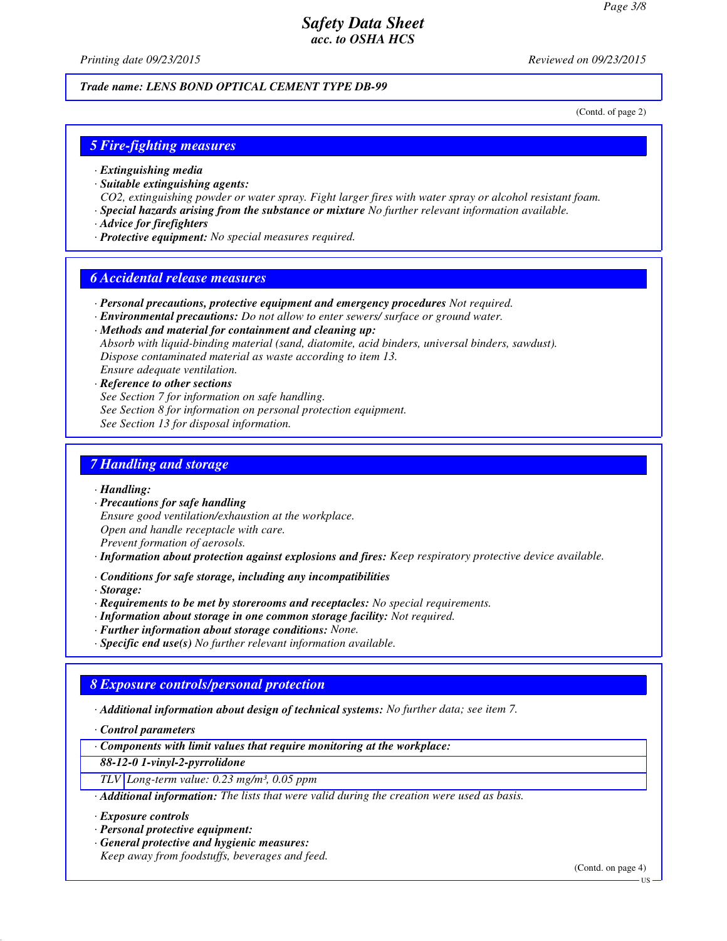*Printing date 09/23/2015 Reviewed on 09/23/2015*

#### *Trade name: LENS BOND OPTICAL CEMENT TYPE DB-99*

(Contd. of page 2)

### *5 Fire-fighting measures*

- *· Extinguishing media*
- *· Suitable extinguishing agents:*
- *CO2, extinguishing powder or water spray. Fight larger fires with water spray or alcohol resistant foam.*
- *· Special hazards arising from the substance or mixture No further relevant information available.*
- *· Advice for firefighters*
- *· Protective equipment: No special measures required.*

### *6 Accidental release measures*

- *· Personal precautions, protective equipment and emergency procedures Not required.*
- *· Environmental precautions: Do not allow to enter sewers/ surface or ground water.*

*· Methods and material for containment and cleaning up:*

*Absorb with liquid-binding material (sand, diatomite, acid binders, universal binders, sawdust). Dispose contaminated material as waste according to item 13.*

*Ensure adequate ventilation.*

- *· Reference to other sections*
- *See Section 7 for information on safe handling.*
- *See Section 8 for information on personal protection equipment.*
- *See Section 13 for disposal information.*

## *7 Handling and storage*

*· Handling:*

- *· Precautions for safe handling*
- *Ensure good ventilation/exhaustion at the workplace. Open and handle receptacle with care.*
- *Prevent formation of aerosols.*
- *· Information about protection against explosions and fires: Keep respiratory protective device available.*
- *· Conditions for safe storage, including any incompatibilities*

*· Storage:*

- *· Requirements to be met by storerooms and receptacles: No special requirements.*
- *· Information about storage in one common storage facility: Not required.*
- *· Further information about storage conditions: None.*
- *· Specific end use(s) No further relevant information available.*

#### *8 Exposure controls/personal protection*

*· Additional information about design of technical systems: No further data; see item 7.*

*· Control parameters*

*· Components with limit values that require monitoring at the workplace:*

*88-12-0 1-vinyl-2-pyrrolidone*

*TLV Long-term value: 0.23 mg/m³, 0.05 ppm*

*· Additional information: The lists that were valid during the creation were used as basis.*

*· Exposure controls*

- *· Personal protective equipment:*
- *· General protective and hygienic measures:*

*Keep away from foodstuffs, beverages and feed.*

(Contd. on page 4)

US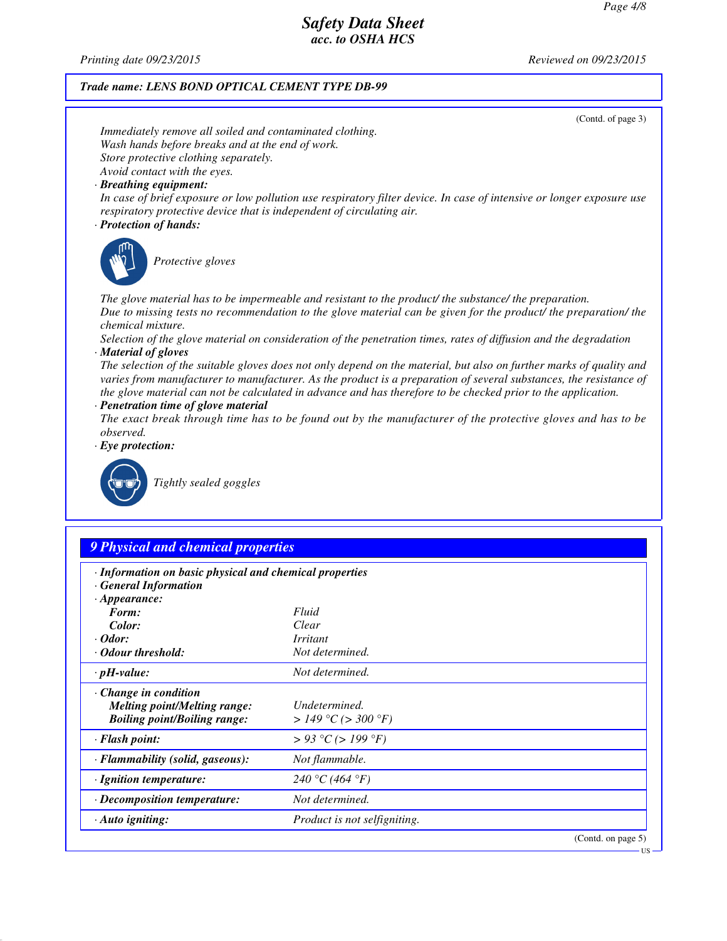*Printing date 09/23/2015 Reviewed on 09/23/2015*

#### *Trade name: LENS BOND OPTICAL CEMENT TYPE DB-99*

(Contd. of page 3) *Immediately remove all soiled and contaminated clothing. Wash hands before breaks and at the end of work. Store protective clothing separately. Avoid contact with the eyes. · Breathing equipment: In case of brief exposure or low pollution use respiratory filter device. In case of intensive or longer exposure use respiratory protective device that is independent of circulating air. · Protection of hands: Protective gloves The glove material has to be impermeable and resistant to the product/ the substance/ the preparation. Due to missing tests no recommendation to the glove material can be given for the product/ the preparation/ the chemical mixture. Selection of the glove material on consideration of the penetration times, rates of diffusion and the degradation · Material of gloves The selection of the suitable gloves does not only depend on the material, but also on further marks of quality and varies from manufacturer to manufacturer. As the product is a preparation of several substances, the resistance of the glove material can not be calculated in advance and has therefore to be checked prior to the application. · Penetration time of glove material The exact break through time has to be found out by the manufacturer of the protective gloves and has to be observed. · Eye protection: Tightly sealed goggles 9 Physical and chemical properties · Information on basic physical and chemical properties · General Information · Appearance: Form: Fluid Color: Clear · Odor: Irritant · Odour threshold: Not determined. · pH-value: Not determined. · Change in condition Melting point/Melting range: Undetermined.*  $B\text{oiling point}/B\text{oiling range:}$ 

*· Flash point: > 93 °C (> 199 °F) · Flammability (solid, gaseous): Not flammable. · Ignition temperature: 240 °C (464 °F) · Decomposition temperature: Not determined. · Auto igniting: Product is not selfigniting.* (Contd. on page 5)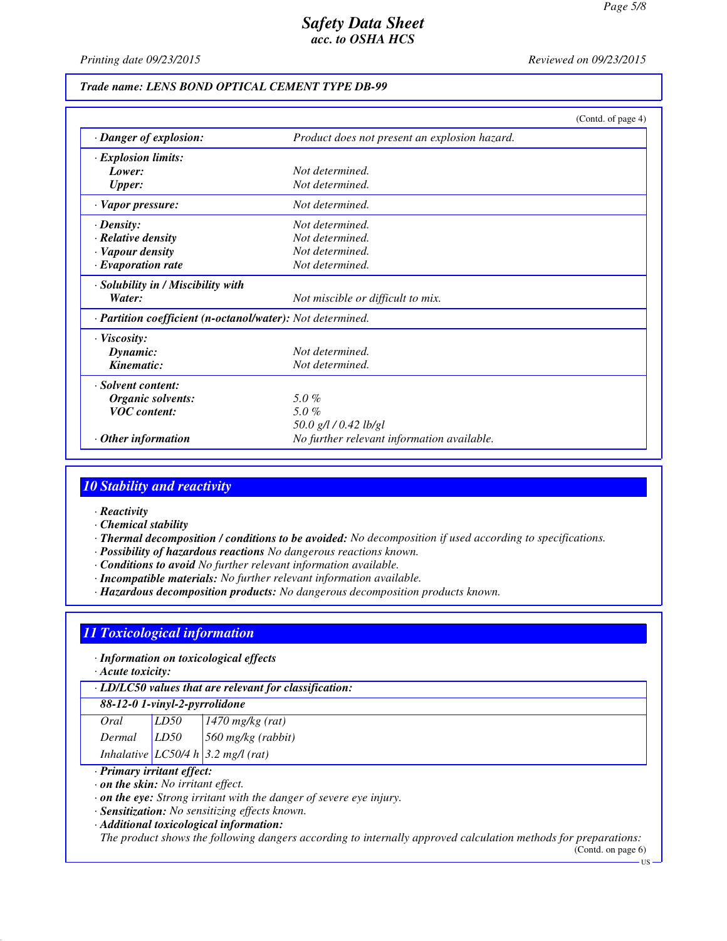*Printing date 09/23/2015 Reviewed on 09/23/2015*

### *Trade name: LENS BOND OPTICAL CEMENT TYPE DB-99*

|                                                            | (Contd. of page $4$ )                         |  |  |
|------------------------------------------------------------|-----------------------------------------------|--|--|
| · Danger of explosion:                                     | Product does not present an explosion hazard. |  |  |
| · Explosion limits:                                        |                                               |  |  |
| Lower:                                                     | Not determined.                               |  |  |
| <b>Upper:</b>                                              | Not determined.                               |  |  |
| $\cdot$ Vapor pressure:                                    | Not determined.                               |  |  |
| $\cdot$ Density:                                           | Not determined.                               |  |  |
| · Relative density                                         | Not determined.                               |  |  |
| · Vapour density                                           | Not determined.                               |  |  |
| $\cdot$ Evaporation rate                                   | Not determined.                               |  |  |
| · Solubility in / Miscibility with                         |                                               |  |  |
| Water:                                                     | Not miscible or difficult to mix.             |  |  |
| · Partition coefficient (n-octanol/water): Not determined. |                                               |  |  |
| $\cdot$ Viscosity:                                         |                                               |  |  |
| Dynamic:                                                   | Not determined.                               |  |  |
| Kinematic:                                                 | Not determined.                               |  |  |
| · Solvent content:                                         |                                               |  |  |
| Organic solvents:                                          | 5.0%                                          |  |  |
| <b>VOC</b> content:                                        | 5.0%                                          |  |  |
|                                                            | 50.0 g/l / 0.42 lb/gl                         |  |  |
| $\cdot$ Other information                                  | No further relevant information available.    |  |  |

### *10 Stability and reactivity*

- *· Reactivity*
- *· Chemical stability*
- *· Thermal decomposition / conditions to be avoided: No decomposition if used according to specifications.*
- *· Possibility of hazardous reactions No dangerous reactions known.*
- *· Conditions to avoid No further relevant information available.*
- *· Incompatible materials: No further relevant information available.*
- *· Hazardous decomposition products: No dangerous decomposition products known.*

## *11 Toxicological information*

*· Information on toxicological effects*

*· Acute toxicity:*

*· LD/LC50 values that are relevant for classification:*

### *88-12-0 1-vinyl-2-pyrrolidone*

| Oral   | LD50 | $1470$ mg/kg (rat)                   |
|--------|------|--------------------------------------|
| Dermal | LD50 | $560$ mg/kg (rabbit)                 |
|        |      | Inhalative $LC50/4 h$ 3.2 mg/l (rat) |

#### *· Primary irritant effect:*

*· on the skin: No irritant effect.*

*· on the eye: Strong irritant with the danger of severe eye injury.*

*· Sensitization: No sensitizing effects known.*

*· Additional toxicological information:*

*The product shows the following dangers according to internally approved calculation methods for preparations:*

(Contd. on page 6) US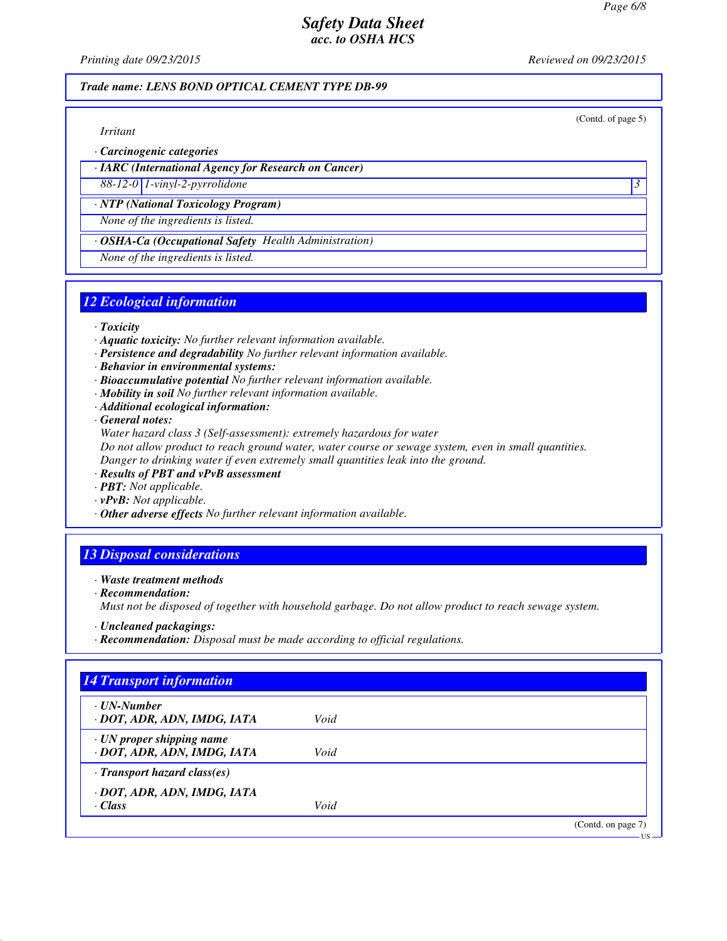*Printing date 09/23/2015 Reviewed on 09/23/2015*

(Contd. of page 5)

### *Trade name: LENS BOND OPTICAL CEMENT TYPE DB-99*

*Irritant*

*· Carcinogenic categories*

*· IARC (International Agency for Research on Cancer)*

*88-12-0 1-vinyl-2-pyrrolidone 3* 

*· NTP (National Toxicology Program)*

*None of the ingredients is listed.*

*· OSHA-Ca (Occupational Safety Health Administration)*

*None of the ingredients is listed.*

## *12 Ecological information*

*· Toxicity*

- *· Aquatic toxicity: No further relevant information available.*
- *· Persistence and degradability No further relevant information available.*
- *· Behavior in environmental systems:*
- *· Bioaccumulative potential No further relevant information available.*
- *· Mobility in soil No further relevant information available.*
- *· Additional ecological information:*

*· General notes:*

*Water hazard class 3 (Self-assessment): extremely hazardous for water*

*Do not allow product to reach ground water, water course or sewage system, even in small quantities. Danger to drinking water if even extremely small quantities leak into the ground.*

- *· Results of PBT and vPvB assessment*
- *· PBT: Not applicable.*
- *· vPvB: Not applicable.*
- *· Other adverse effects No further relevant information available.*

## *13 Disposal considerations*

#### *· Waste treatment methods*

*· Recommendation:*

*Must not be disposed of together with household garbage. Do not allow product to reach sewage system.*

- *· Uncleaned packagings:*
- *· Recommendation: Disposal must be made according to official regulations.*

| · UN-Number                        |      |  |
|------------------------------------|------|--|
| · DOT, ADR, ADN, IMDG, IATA        | Void |  |
| $\cdot$ UN proper shipping name    |      |  |
| · DOT, ADR, ADN, IMDG, IATA        | Void |  |
| $\cdot$ Transport hazard class(es) |      |  |
| · DOT, ADR, ADN, IMDG, IATA        |      |  |
| $\cdot$ Class                      | Void |  |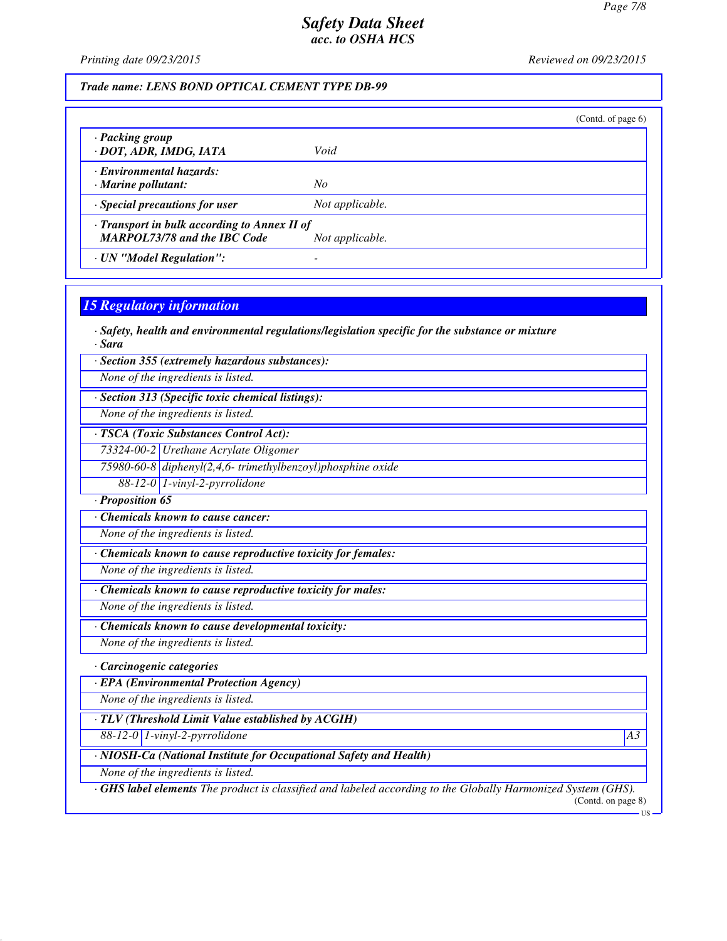*Printing date 09/23/2015 Reviewed on 09/23/2015*

*Trade name: LENS BOND OPTICAL CEMENT TYPE DB-99*

|                                                                                     |                 | (Contd. of page $6$ ) |
|-------------------------------------------------------------------------------------|-----------------|-----------------------|
| · Packing group<br>· DOT, ADR, IMDG, IATA                                           | Void            |                       |
| · Environmental hazards:<br>$\cdot$ Marine pollutant:                               | No              |                       |
| $\cdot$ Special precautions for user                                                | Not applicable. |                       |
| · Transport in bulk according to Annex II of<br><b>MARPOL73/78 and the IBC Code</b> | Not applicable. |                       |
| · UN "Model Regulation":                                                            |                 |                       |

# *15 Regulatory information*

*· Safety, health and environmental regulations/legislation specific for the substance or mixture · Sara*

*· Section 355 (extremely hazardous substances):*

*None of the ingredients is listed.*

*· Section 313 (Specific toxic chemical listings):*

*None of the ingredients is listed.*

*· TSCA (Toxic Substances Control Act):*

*73324-00-2 Urethane Acrylate Oligomer*

*75980-60-8 diphenyl(2,4,6- trimethylbenzoyl)phosphine oxide*

*88-12-0 1-vinyl-2-pyrrolidone*

*· Proposition 65*

*· Chemicals known to cause cancer:*

*None of the ingredients is listed.*

*· Chemicals known to cause reproductive toxicity for females:*

*None of the ingredients is listed.*

*· Chemicals known to cause reproductive toxicity for males:*

*None of the ingredients is listed.*

*· Chemicals known to cause developmental toxicity:*

*None of the ingredients is listed.*

*· Carcinogenic categories*

*· EPA (Environmental Protection Agency)*

*None of the ingredients is listed.*

*· TLV (Threshold Limit Value established by ACGIH)*

*88-12-0 1-vinyl-2-pyrrolidone A3*

*· NIOSH-Ca (National Institute for Occupational Safety and Health)*

*None of the ingredients is listed.*

*· GHS label elements The product is classified and labeled according to the Globally Harmonized System (GHS).* (Contd. on page 8)